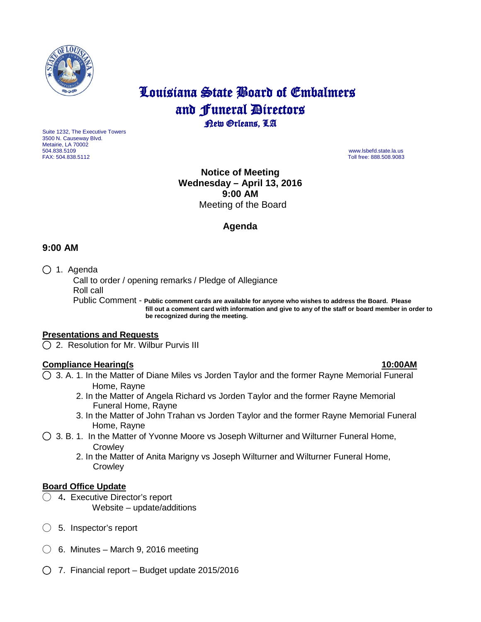

# Louisiana State Board of Embalmers and **Funeral Directors**<br>**Rew Orleans**, LA

Suite 1232, The Executive Towers 3500 N. Causeway Blvd. Metairie, LA 70002 504.838.5109 www.lsbefd.state.la.us

Toll free: 888.508.9083

**Notice of Meeting Wednesday – April 13, 2016 9:00 AM**  Meeting of the Board

# **Agenda**

# **9:00 AM**

◯ 1. Agenda

 Call to order / opening remarks / Pledge of Allegiance Roll call

 Public Comment - **Public comment cards are available for anyone who wishes to address the Board. Please fill out a comment card with information and give to any of the staff or board member in order to be recognized during the meeting.**

### **Presentations and Requests**

◯2. Resolution for Mr. Wilbur Purvis III

# **Compliance Hearing(s 10:00AM**

◯3. A. 1. In the Matter of Diane Miles vs Jorden Taylor and the former Rayne Memorial Funeral Home, Rayne

- 2. In the Matter of Angela Richard vs Jorden Taylor and the former Rayne Memorial Funeral Home, Rayne
- 3. In the Matter of John Trahan vs Jorden Taylor and the former Rayne Memorial Funeral Home, Rayne
- $\bigcirc$  3. B. 1. In the Matter of Yvonne Moore vs Joseph Wilturner and Wilturner Funeral Home, **Crowley** 
	- 2. In the Matter of Anita Marigny vs Joseph Wilturner and Wilturner Funeral Home, **Crowley**

### **Board Office Update**

- ◯ 4**.** Executive Director's report Website – update/additions
- ◯ 5. Inspector's report
- ◯ 6.Minutes March 9, 2016 meeting
- ◯7. Financial report Budget update 2015/2016